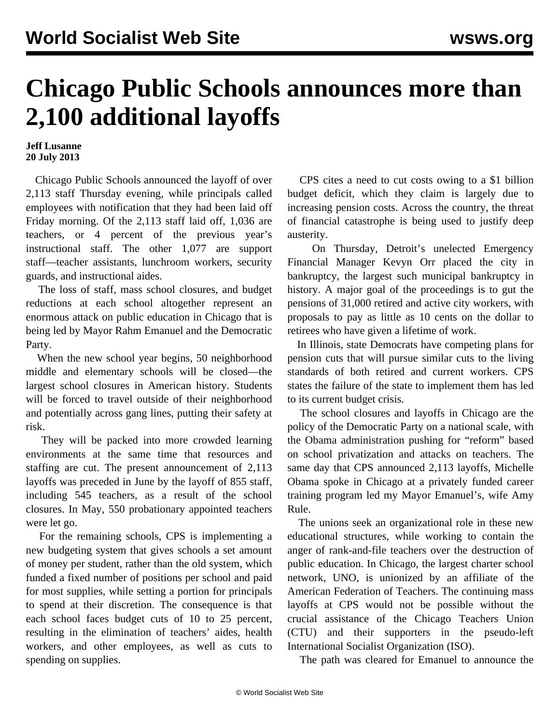## **Chicago Public Schools announces more than 2,100 additional layoffs**

## **Jeff Lusanne 20 July 2013**

 Chicago Public Schools announced the layoff of over 2,113 staff Thursday evening, while principals called employees with notification that they had been laid off Friday morning. Of the 2,113 staff laid off, 1,036 are teachers, or 4 percent of the previous year's instructional staff. The other 1,077 are support staff—teacher assistants, lunchroom workers, security guards, and instructional aides.

 The loss of staff, mass school closures, and budget reductions at each school altogether represent an enormous attack on public education in Chicago that is being led by Mayor Rahm Emanuel and the Democratic Party.

 When the new school year begins, 50 neighborhood middle and elementary schools will be closed—the largest school closures in American history. Students will be forced to travel outside of their neighborhood and potentially across gang lines, putting their safety at risk.

 They will be packed into more crowded learning environments at the same time that resources and staffing are cut. The present announcement of 2,113 layoffs was preceded in June by the layoff of 855 staff, including 545 teachers, as a result of the school closures. In May, 550 probationary appointed teachers were let go.

 For the remaining schools, CPS is implementing a new budgeting system that gives schools a set amount of money per student, rather than the old system, which funded a fixed number of positions per school and paid for most supplies, while setting a portion for principals to spend at their discretion. The consequence is that each school faces budget cuts of 10 to 25 percent, resulting in the elimination of teachers' aides, health workers, and other employees, as well as cuts to spending on supplies.

 CPS cites a need to cut costs owing to a \$1 billion budget deficit, which they claim is largely due to increasing pension costs. Across the country, the threat of financial catastrophe is being used to justify deep austerity.

 On Thursday, Detroit's unelected Emergency Financial Manager Kevyn Orr placed the city in bankruptcy, the largest such municipal bankruptcy in history. A major goal of the proceedings is to gut the pensions of 31,000 retired and active city workers, with proposals to pay as little as 10 cents on the dollar to retirees who have given a lifetime of work.

 In Illinois, state Democrats have competing plans for pension cuts that will pursue similar cuts to the living standards of both retired and current workers. CPS states the failure of the state to implement them has led to its current budget crisis.

 The school closures and layoffs in Chicago are the policy of the Democratic Party on a national scale, with the Obama administration pushing for "reform" based on school privatization and attacks on teachers. The same day that CPS announced 2,113 layoffs, Michelle Obama spoke in Chicago at a privately funded career training program led my Mayor Emanuel's, wife Amy Rule.

 The unions seek an organizational role in these new educational structures, while working to contain the anger of rank-and-file teachers over the destruction of public education. In Chicago, the largest charter school network, UNO, is unionized by an affiliate of the American Federation of Teachers. The continuing mass layoffs at CPS would not be possible without the crucial assistance of the Chicago Teachers Union (CTU) and their supporters in the pseudo-left International Socialist Organization (ISO).

The path was cleared for Emanuel to announce the